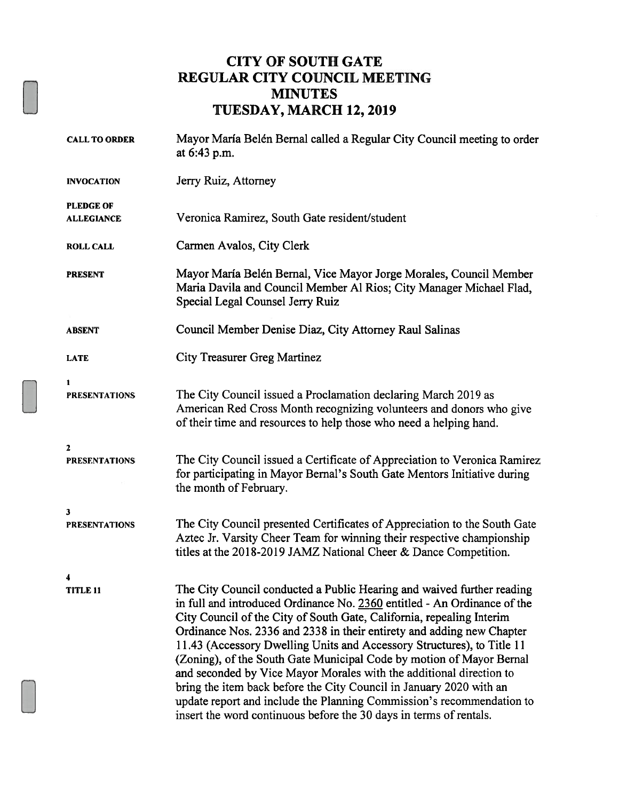## CITY OF SOUTH GATE REGULAR CITY COUNCIL MEETING MINUTES TUESDAY, MARCH 12, 2019

| <b>CALL TO ORDER</b>                  | Mayor María Belén Bernal called a Regular City Council meeting to order<br>at 6:43 p.m.                                                                                                                                                                                                                                                                                                                                                                                                                                                                                                                                                                                                                                                             |
|---------------------------------------|-----------------------------------------------------------------------------------------------------------------------------------------------------------------------------------------------------------------------------------------------------------------------------------------------------------------------------------------------------------------------------------------------------------------------------------------------------------------------------------------------------------------------------------------------------------------------------------------------------------------------------------------------------------------------------------------------------------------------------------------------------|
| <b>INVOCATION</b>                     | Jerry Ruiz, Attorney                                                                                                                                                                                                                                                                                                                                                                                                                                                                                                                                                                                                                                                                                                                                |
| <b>PLEDGE OF</b><br><b>ALLEGIANCE</b> | Veronica Ramirez, South Gate resident/student                                                                                                                                                                                                                                                                                                                                                                                                                                                                                                                                                                                                                                                                                                       |
| <b>ROLL CALL</b>                      | Carmen Avalos, City Clerk                                                                                                                                                                                                                                                                                                                                                                                                                                                                                                                                                                                                                                                                                                                           |
| <b>PRESENT</b>                        | Mayor María Belén Bernal, Vice Mayor Jorge Morales, Council Member<br>Maria Davila and Council Member Al Rios; City Manager Michael Flad,<br>Special Legal Counsel Jerry Ruiz                                                                                                                                                                                                                                                                                                                                                                                                                                                                                                                                                                       |
| <b>ABSENT</b>                         | Council Member Denise Diaz, City Attorney Raul Salinas                                                                                                                                                                                                                                                                                                                                                                                                                                                                                                                                                                                                                                                                                              |
| <b>LATE</b>                           | <b>City Treasurer Greg Martinez</b>                                                                                                                                                                                                                                                                                                                                                                                                                                                                                                                                                                                                                                                                                                                 |
| 1<br><b>PRESENTATIONS</b>             | The City Council issued a Proclamation declaring March 2019 as<br>American Red Cross Month recognizing volunteers and donors who give<br>of their time and resources to help those who need a helping hand.                                                                                                                                                                                                                                                                                                                                                                                                                                                                                                                                         |
| $\mathbf{z}$<br><b>PRESENTATIONS</b>  | The City Council issued a Certificate of Appreciation to Veronica Ramirez<br>for participating in Mayor Bernal's South Gate Mentors Initiative during<br>the month of February.                                                                                                                                                                                                                                                                                                                                                                                                                                                                                                                                                                     |
| 3<br><b>PRESENTATIONS</b>             | The City Council presented Certificates of Appreciation to the South Gate<br>Aztec Jr. Varsity Cheer Team for winning their respective championship<br>titles at the 2018-2019 JAMZ National Cheer & Dance Competition.                                                                                                                                                                                                                                                                                                                                                                                                                                                                                                                             |
| 4<br><b>TITLE 11</b>                  | The City Council conducted a Public Hearing and waived further reading<br>in full and introduced Ordinance No. 2360 entitled - An Ordinance of the<br>City Council of the City of South Gate, California, repealing Interim<br>Ordinance Nos. 2336 and 2338 in their entirety and adding new Chapter<br>11.43 (Accessory Dwelling Units and Accessory Structures), to Title 11<br>(Zoning), of the South Gate Municipal Code by motion of Mayor Bernal<br>and seconded by Vice Mayor Morales with the additional direction to<br>bring the item back before the City Council in January 2020 with an<br>update report and include the Planning Commission's recommendation to<br>insert the word continuous before the 30 days in terms of rentals. |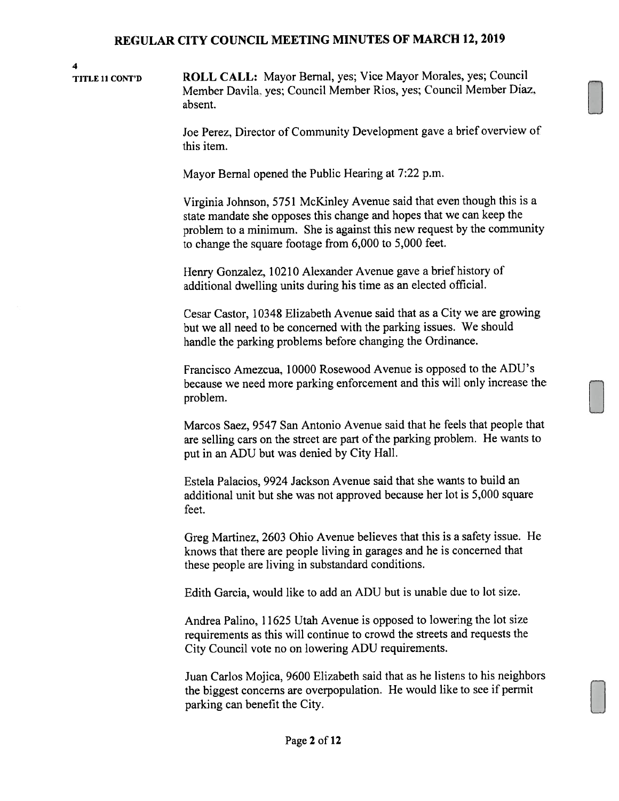4 TITLE <sup>11</sup> CONT'D ROLL CALL: Mayor Bernal, yes; Vice Mayor Morales, yes; Council Member Davila, yes; Council Member Rios, yes; Council Member Diaz, absent.

> Joe Perez, Director of Community Development gave a brief overview of this item.

Mayor Bernal opened the Public Hearing at 7:22 p.m.

Virginia Johnson, 5751 McKinley Avenue said that even though this is a state mandate she opposes this change and hopes that we can keep the problem to a minimum. She is against this new request by the community to change the square footage from 6,000 to 5,000 feet.

Henry Gonzalez, 10210 Alexander Avenue gave a brief history of additional dwelling units during his time as an elected official.

Cesar Castor, 10348 Elizabeth Avenue said that as a City we are growing but we all need to be concerned with the parking issues. We should handle the parking problems before changing the Ordinance.

Francisco Amezcua, 10000 Rosewood Avenue is opposed to the ADU's because we need more parking enforcement and this will only increase the problem.

Marcos Saez, 9547 San Antonio Avenue said that he feels that people that are selling cars on the street are part of the parking problem. He wants to put in an ADU but was denied by City hall.

Estela Palacios, 9924 Jackson Avenue said that she wants to build an additional unit but she was not approved because her lot is 5,000 square feet.

Greg Martinez, 2603 Ohio Avenue believes that this is a safety issue. He knows that there are people living in garages and he is concerned that these people are living in substandard conditions.

Edith Garcia, would like to add an ADU but is unable due to lot size.

Andrea Palino, 11625 Utah Avenue is opposed to lowering the lot size requirements as this will continue to crowd the streets and requests the City Council vote no on lowering ADU requirements.

Juan Carlos Mojica, 9600 Elizabeth said that as he listens to his neighbors the biggest concerns are overpopulation. He would like to see if permit parking can benefit the City.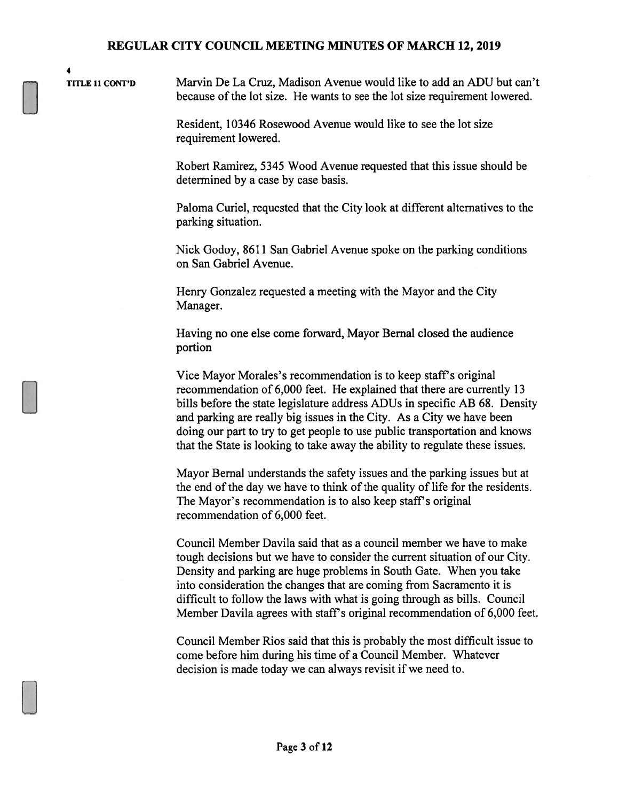4

TITLE <sup>11</sup> CONT'D Marvin De La Cruz, Madison Avenue would like to add an ADU but can't because of the lot size. He wants to see the lot size requirement lowered.

> Resident. 10346 Rosewood Avenue would like to see the lot size requirement lowered.

Robert Ramirez, 5345 Wood Avenue requested that this issue should be determined by a case by case basis.

Paloma Curie!, requested that the City look at different alternatives to the parking situation.

Nick Godoy, 8611 San Gabriel Avenue spoke on the parking conditions on San Gabriel Avenue.

Henry Gonzalez requested a meeting with the Mayor and the City Manager.

Having no one else come forward, Mayor Bernal closed the audience portion

Vice Mayor Morales's recommendation is to keep staff's original recommendation of 6,000 feet. He explained that there are currently 13 bills before the state legislature address ADUs in specific AB 68. Density and parking are really big issues in the City. As a City we have been doing our part to try to get people to use public transportation and knows that the State is looking to take away the ability to regulate these issues.

Mayor Bernal understands the safety issues and the parking issues but at the end of the day we have to think of the quality of life for the residents. The Mayor's recommendation is to also keep staff's original recommendation of 6,000 feet.

Council Member Davila said that as a council member we have to make tough decisions but we have to consider the current situation of our City. Density and parking are huge problems in South Gate. When you take into consideration the changes that are coming from Sacramento it is difficult to follow the laws with what is going through as bills. Council Member Davila agrees with staff's original recommendation of 6,000 feet.

Council Member Rios said that this is probably the most difficult issue to come before him during his time of a Council Member. Whatever decision is made today we can always revisit if we need to.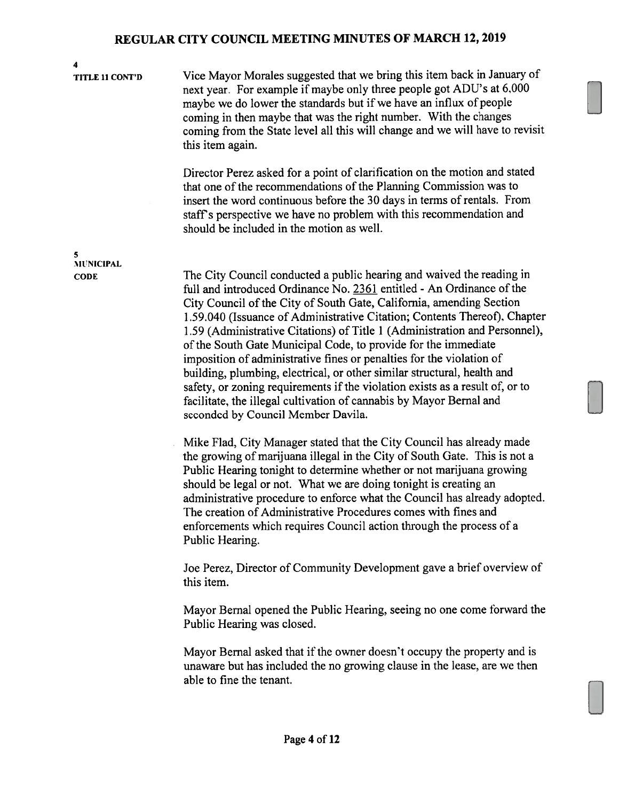4

TITLE <sup>11</sup> CONT'D Vice Mayor Morales suggested that we bring this item back in January of next year. For example if maybe only three people got ADU's at 6.000 maybe we do lower the standards but if we have an influx of people coming in then maybe that was the right number. With the changes coming from the State level all this will change and we will have to revisit this item again.

> Director Perez asked for a point of clarification on the motion and stated that one of the recommendations of the Planning Commission was to insert the word continuous before the 30 days in terms of rentals. From staff's perspective we have no problem with this recommendation and should be included in the motion as well.

CODE The City Council conducted a public hearing and waived the reading in full and introduced Ordinance No. 2361 entitled - An Ordinance of the City Council of the City of South Gate, California, amending Section 1.59.040 (Issuance of Administrative Citation; Contents Thereof), Chapter 1.59 (Administrative Citations) of Title <sup>1</sup> (Administration and Personnel), of the South Gate Municipal Code, to provide for the immediate imposition of administrative fines or penalties for the violation of building, plumbing, electrical, or other similar structural, health and safety, or zoning requirements if the violation exists as a result of, or to facilitate, the illegal cultivation of cannabis by Mayor Bernal and seconded by Council Member Davila.

> Mike Flad, City Manager stated that the City Council has already made the growing of marijuana illegal in the City of South Gate. This is not a Public Hearing tonight to determine whether or not marijuana growing should be legal or not. What we are doing tonight is creating an administrative procedure to enforce what the Council has already adopted. The creation of Administrative Procedures comes with fines and enforcernents which requires Council action through the process of a Public Hearing.

> Joe Perez, Director of Community Development gave a brief overview of this item.

Mayor Bernal opened the Public Hearing, seeing no one come forward the Public Hearing was closed.

Mayor Bernal asked that if the owner doesn't occupy the property and is unaware but has included the no growing clause in the lease, are we then able to fine the tenant.

5 MUNICIPAL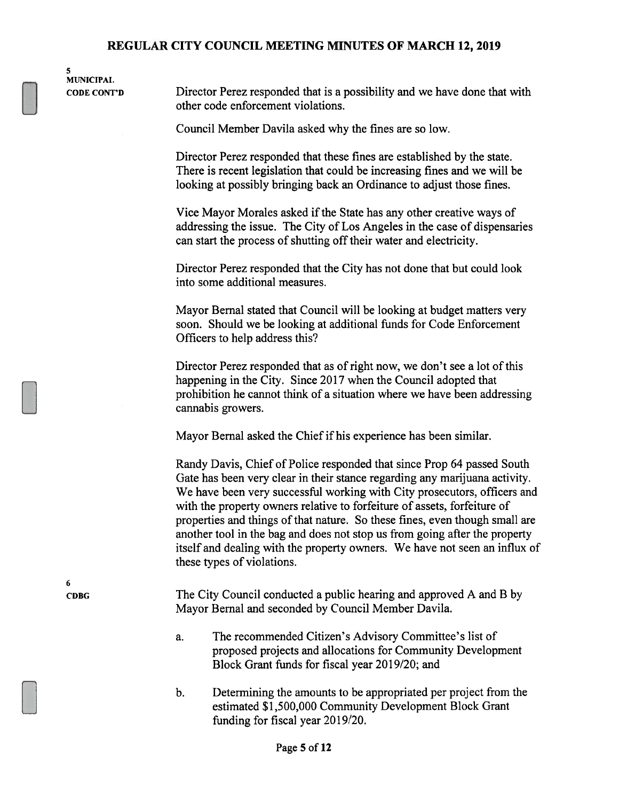5 MUNICIPAL

CODE CONT'D Director Perez responded that is a possibility and we have done that with other code enforcement violations.

Council Member Davila asked why the fines are so low.

Director Perez responded that these fines are established by the state. There is recent legislation that could be increasing fines and we will be looking at possibly bringing back an Ordinance to adjust those fines.

Vice Mayor Morales asked if the State has any other creative ways of addressing the issue. The City of Los Angeles in the case of dispensaries can start the process of shutting off their water and electricity.

Director Perez responded that the City has not done that but could look into some additional measures.

Mayor Bemal stated that Council will be looking at budget matters very soon. Should we be looking at additional funds for Code Enforcement Officers to help address this?

Director Perez responded that as of right now, we don't see a lot of this happening in the City. Since 2017 when the Council adopted that prohibition he cannot think of a situation where we have been addressing cannabis growers.

Mayor Bernal asked the Chief if his experience has been similar.

Randy Davis, Chief of Police responded that since Prop 64 passed South Gate has been very clear in their stance regarding any marijuana activity. We have been very successful working with City prosecutors, officers and with the property owners relative to forfeiture of assets, forfeiture of properties and things of that nature. So these fines, even though small are another tool in the bag and does not stop us from going after the property itself and dealing with the property owners. We have not seen an influx of these types of violations.

CDBG The City Council conducted a public hearing and approved A and B by Mayor Bernal and seconded by Council Member Davila.

- a. The recommended Citizen's Advisory Committee's list of proposed projects and allocations for Community Development Block Grant funds for fiscal year 2019/20; and
- b. Determining the amounts to be appropriated per project from the estimated \$1,500,000 Community Development Block Grant funding for fiscal year 2019/20.

6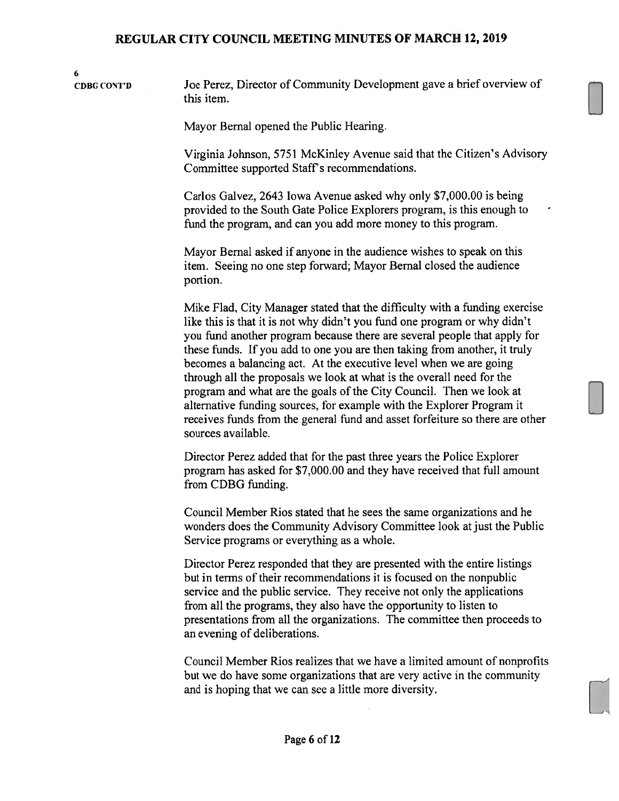6 CDBC CONJ'D Joe Perez, Director of Community Development gave a brief overview of this item.

Mayor Bernal opened the Public Hearing.

Virginia Johnson, 5751 McKinley Avenue said that the Citizen's Advisory Committee supported Staff's recommendations.

Carlos Galvez, 2643 Iowa Avenue asked why only \$7,000.00 is being provided to the South Gate Police Explorers program, is this enough to fund the program, and can you add more money to this program.

Mayor Bernal asked if anyone in the audience wishes to speak on this item. Seeing no one step forward; Mayor Bernal closed the audience portion.

Mike Flad, City Manager stated that the difficulty with a funding exercise like this is that it is not why didn't you fund one program or why didn't you fund another program because there are several people that apply for these funds. If you add to one you are then taking from another, it truly becomes a balancing act. At the executive level when we are going through all the proposals we look at what is the overall need for the program and what are the goals of the City Council. Then we look at alternative funding sources, for example with the Explorer Program it receives funds from the general fund and asset forfeiture so there are other sources available.

Director Perez added that for the past three years the Police Explorer program has asked for \$7,000.00 and they have received that full amount from CDBG funding.

Council Member Rios stated that he sees the same organizations and he wonders does the Community Advisory Committee look at just the Public Service programs or everything as a whole.

Director Perez responded that they are presented with the entire listings but in terms of their recommendations it is focused on the nonpublic service and the public service. They receive not only the applications from all the programs, they also have the opportunity to listen to presentations from all the organizations. The committee then proceeds to an evening of deliberations.

Council Member Rios realizes that we have a limited amount of nonprofits but we do have some organizations that are very active in the community and is hoping that we can see a little more diversity.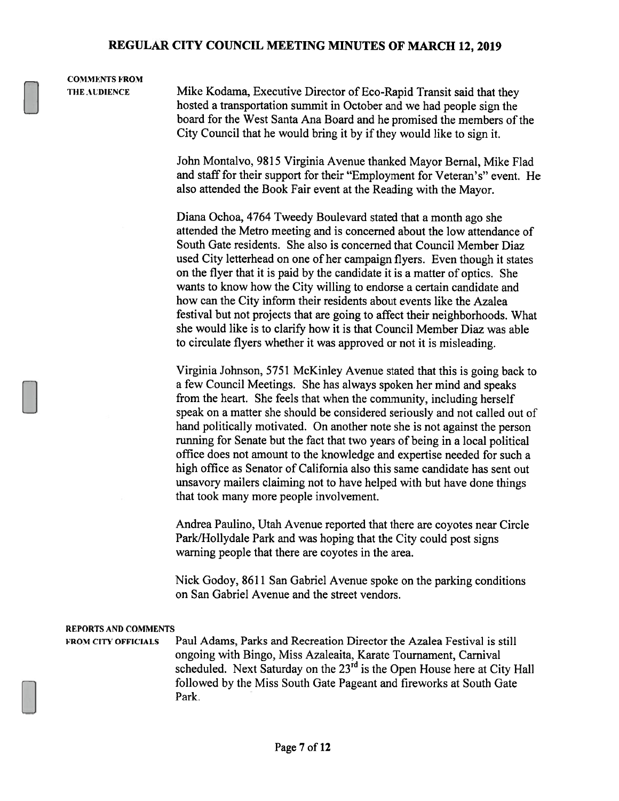# **COMMENTS FROM**

THE AUDIENCE Mike Kodama, Executive Director of Eco-Rapid Transit said that they hosted a transportation summit in October and we had people sign the board for the West Santa Ana Board and he promised the members of the City Council that he would bring it by if they would like to sign it.

> John Montalvo. 9815 Virginia Avenue thanked Mayor Bernal, Mike Flad and staff for their support for their "Employment for Veteran's" event. He also attended the Book Fair event at the Reading with the Mayor.

> Diana Ochoa, 4764 Tweedy Boulevard stated that a month ago she attended the Metro meeting and is concerned about the low attendance of South Gate residents. She also is concerned that Council Member Diaz used City letterhead on one of her campaign flyers. Even though it states on the flyer that it is paid by the candidate it is a matter of optics. She wants to know how the City willing to endorse a certain candidate and how can the City inform their residents about events like the Azalea festival but not projects that are going to affect their neighborhoods. What she would like is to clarify how it is that Council Member Diaz was able to circulate flyers whether it was approved or not it is misleading.

> Virginia Johnson, 5751 McKinley Avenue stated that this is going back to a few Council Meetings. She has always spoken her mind and speaks from the heart. She feels that when the community, including herself speak on a matter she should be considered seriously and not called out of hand politically motivated. On another note she is not against the person running for Senate but the fact that two years of being in a local political office does not amount to the knowledge and expertise needed for such a high office as Senator of California also this same candidate has sent out unsavory mailers claiming not to have helped with but have done things that took many more people involvement.

Andrea Paulino, Utah Avenue reported that there are coyotes near Circle Park/Hollydale Park and was hoping that the City could post signs warning people that there are coyotes in the area.

Nick Godoy, 8611 San Gabriel Avenue spoke on the parking conditions on San Gabriel Avenue and the street vendors.

#### REPORTS AND COMMENTS

FROM CITY OFFICIALS Paul Adams, Parks and Recreation Director the Azalea Festival is still ongoing with Bingo, Miss Azaleaita, Karate Tournament, Carnival scheduled. Next Saturday on the 23<sup>rd</sup> is the Open House here at City Hall followed by the Miss South Gate Pageant and fireworks at South Gate Park.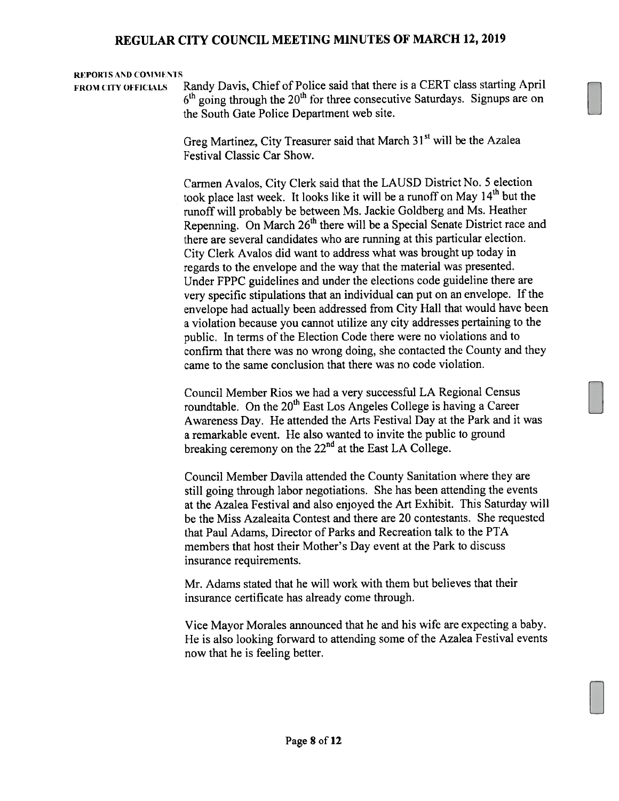#### REPORTS AND COMMENTS

FROM CITY OFFICIALS Randy Davis, Chief of Police said that there is a CERT class starting April  $6<sup>th</sup>$  going through the 20<sup>th</sup> for three consecutive Saturdays. Signups are on the South Gate Police Department web site.

> Greg Martinez, City Treasurer said that March 31<sup>st</sup> will be the Azalea Festival Classic Car Show.

Carmen Avalos. City Clerk said that the LAUSD District No. <sup>5</sup> election took place last week. It looks like it will be a runoff on May  $14<sup>th</sup>$  but the runoff will probably be between Ms. Jackie Goldberg and Ms. Heather Repenning. On March 26<sup>th</sup> there will be a Special Senate District race and there are several candidates who are running at this particular election. City Clerk Avalos did want to address what was brought up today in regards to the envelope and the way that the material was presented. Under FPPC guidelines and under the elections code guideline there are very specific stipulations that an individual can pu<sup>t</sup> on an envelope. If the envelope had actually been addressed from City Hall that would have been <sup>a</sup> violation because you cannot utilize any city addresses pertaining to the public. In terms of the Election Code there were no violations and to confirm that there was no wrong doing, she contacted the County and they came to the same conclusion that there was no code violation.

Council Member Rios we had <sup>a</sup> very successful LA Regional Census roundtable. On the  $20<sup>th</sup>$  East Los Angeles College is having a Career Awareness Day. He attended the Arts Festival Day at the Park and it was <sup>a</sup> remarkable event. He also wanted to invite the public to ground breaking ceremony on the  $22<sup>nd</sup>$  at the East LA College.

Council Member Davila attended the County Sanitation where they are still going through labor negotiations. She has been attending the events at the Azalea Festival and also enjoyed the Art Exhibit. This Saturday will be the Miss Azaleaita Contest and there are 20 contestants. She requested that Paul Adams, Director of Parks and Recreation talk to the PTA members that host their Mother's Day event at the Park to discuss insurance requirements.

Mr. Adams stated that he will work with them but believes that their insurance certificate has already come through.

Vice Mayor Morales announced that he and his wife arc expecting <sup>a</sup> baby. He is also looking forward to attending some of the Azalea Festival events now that he is feeling better.

El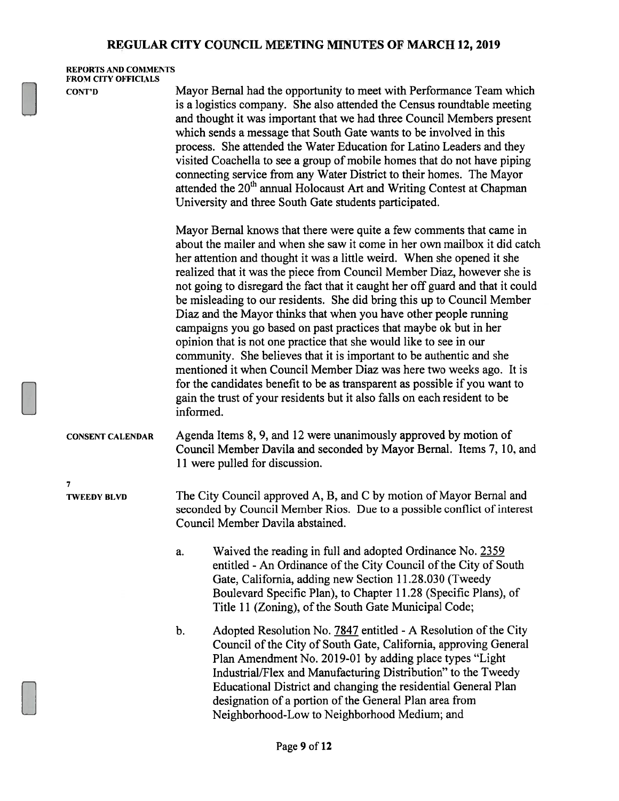REPORTS AND COMMENTS FROM CITY OFFICIALS

7

CONT'D Mayor Bernal had the opportunity to meet with Performance Team which is a logistics company. She also attended the Census roundtable meeting and thought it was important that we had three Council Members present which sends a message that South Gate wants to be involved in this process. She attended the Water Education for Latino Leaders and they visited Coachella to see a group of mobile homes that do not have piping connecting service from any Water District to their homes. The Mayor attended the 20<sup>th</sup> annual Holocaust Art and Writing Contest at Chapman University and three South Gate students participated.

> Mayor Bernal knows that there were quite a few comments that came in about the mailer and when she saw it come in her own mailbox it did catch her attention and thought it was a little weird. When she opened it she realized that it was the piece from Council Member Diaz, however she is not going to disregard the fact that it caught her off guard and that it could be misleading to our residents. She did bring this up to Council Member Diaz and the Mayor thinks that when you have other people running campaigns you go based on past practices that maybe ok but in her opinion that is not one practice that she would like to see in our community. She believes that it is important to be authentic and she mentioned it when Council Member Diaz was here two weeks ago. It is for the candidates benefit to be as transparent as possible if you want to gain the trust of your residents but it also falls on each resident to be informed.

CONSENT CALENDAR Agenda Items 8, 9, and 12 were unanimously approved by motion of Council Member Davila and seconded by Mayor Bernal. Items 7, 10, and 11 were pulled for discussion.

TWEEDY BLVD The City Council approved A, B, and C by motion of Mayor Bernal and seconded by Council Member Rios. Due to a possible conflict of interest Council Member Davila abstained.

> a. Waived the reading in full and adopted Ordinance No. 2359 entitled - An Ordinance of the City Council of the City of South Gate, California, adding new Section 11.28.030 (Tweedy Boulevard Specific Plan), to Chapter 11.28 (Specific Plans), of Title 11 (Zoning), of the South Gate Municipal Code;

b. Adopted Resolution No. 7847 entitled - A Resolution of the City Council of the City of South Gate, California, approving General Plan Amendment No. 2019-01 by adding place types "Light" Industrial/Flex and Manufacturing Distribution" to the Tweedy Educational District and changing the residential General Plan designation of a portion of the General Plan area from Neighborhood-Low to Neighborhood Medium; and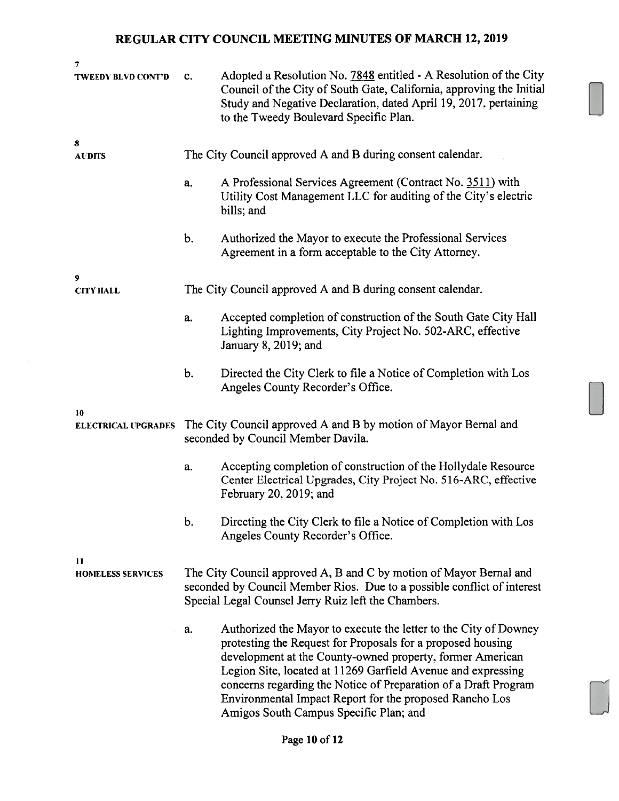| 7                                |                                                                                                                                                                                                      |                                                                                                                                                                                                                                                                                                                                                                                                                                      |  |  |
|----------------------------------|------------------------------------------------------------------------------------------------------------------------------------------------------------------------------------------------------|--------------------------------------------------------------------------------------------------------------------------------------------------------------------------------------------------------------------------------------------------------------------------------------------------------------------------------------------------------------------------------------------------------------------------------------|--|--|
| <b>TWEEDV BLVD CONT'D</b>        | c.                                                                                                                                                                                                   | Adopted a Resolution No. 7848 entitled - A Resolution of the City<br>Council of the City of South Gate, California, approving the Initial<br>Study and Negative Declaration, dated April 19, 2017, pertaining<br>to the Tweedy Boulevard Specific Plan.                                                                                                                                                                              |  |  |
| 8<br><b>AUDITS</b>               |                                                                                                                                                                                                      | The City Council approved A and B during consent calendar.                                                                                                                                                                                                                                                                                                                                                                           |  |  |
|                                  | a.                                                                                                                                                                                                   | A Professional Services Agreement (Contract No. 3511) with<br>Utility Cost Management LLC for auditing of the City's electric<br>bills; and                                                                                                                                                                                                                                                                                          |  |  |
|                                  | b.                                                                                                                                                                                                   | Authorized the Mayor to execute the Professional Services<br>Agreement in a form acceptable to the City Attorney.                                                                                                                                                                                                                                                                                                                    |  |  |
| 9<br><b>CITY HALL</b>            |                                                                                                                                                                                                      | The City Council approved A and B during consent calendar.                                                                                                                                                                                                                                                                                                                                                                           |  |  |
|                                  | a.                                                                                                                                                                                                   | Accepted completion of construction of the South Gate City Hall<br>Lighting Improvements, City Project No. 502-ARC, effective<br>January 8, 2019; and                                                                                                                                                                                                                                                                                |  |  |
|                                  | b.                                                                                                                                                                                                   | Directed the City Clerk to file a Notice of Completion with Los<br>Angeles County Recorder's Office.                                                                                                                                                                                                                                                                                                                                 |  |  |
| 10<br><b>ELECTRICAL UPGRADES</b> | The City Council approved A and B by motion of Mayor Bernal and<br>seconded by Council Member Davila.                                                                                                |                                                                                                                                                                                                                                                                                                                                                                                                                                      |  |  |
|                                  | a.                                                                                                                                                                                                   | Accepting completion of construction of the Hollydale Resource<br>Center Electrical Upgrades, City Project No. 516-ARC, effective<br>February 20, 2019; and                                                                                                                                                                                                                                                                          |  |  |
|                                  | b.                                                                                                                                                                                                   | Directing the City Clerk to file a Notice of Completion with Los<br>Angeles County Recorder's Office.                                                                                                                                                                                                                                                                                                                                |  |  |
| 11<br><b>HOMELESS SERVICES</b>   | The City Council approved A, B and C by motion of Mayor Bernal and<br>seconded by Council Member Rios. Due to a possible conflict of interest<br>Special Legal Counsel Jerry Ruiz left the Chambers. |                                                                                                                                                                                                                                                                                                                                                                                                                                      |  |  |
|                                  | a.                                                                                                                                                                                                   | Authorized the Mayor to execute the letter to the City of Downey<br>protesting the Request for Proposals for a proposed housing<br>development at the County-owned property, former American<br>Legion Site, located at 11269 Garfield Avenue and expressing<br>concerns regarding the Notice of Preparation of a Draft Program<br>Environmental Impact Report for the proposed Rancho Los<br>Amigos South Campus Specific Plan; and |  |  |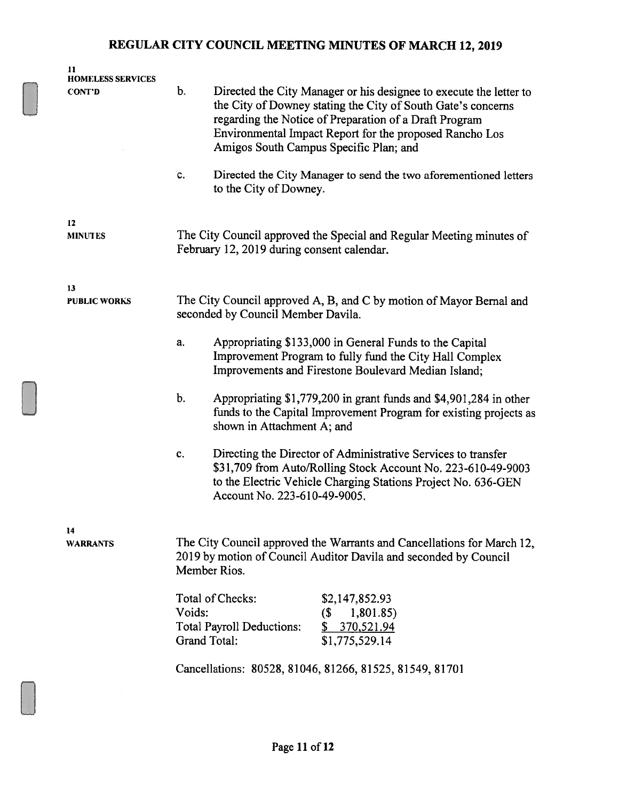| 11<br><b>HOMELESS SERVICES</b> |                                                                                                                                                                                                                                                                                                         |  |  |
|--------------------------------|---------------------------------------------------------------------------------------------------------------------------------------------------------------------------------------------------------------------------------------------------------------------------------------------------------|--|--|
| <b>CONT'D</b>                  | b.<br>Directed the City Manager or his designee to execute the letter to<br>the City of Downey stating the City of South Gate's concerns<br>regarding the Notice of Preparation of a Draft Program<br>Environmental Impact Report for the proposed Rancho Los<br>Amigos South Campus Specific Plan; and |  |  |
|                                | Directed the City Manager to send the two aforementioned letters<br>c.<br>to the City of Downey.                                                                                                                                                                                                        |  |  |
| 12<br><b>MINUTES</b>           | The City Council approved the Special and Regular Meeting minutes of<br>February 12, 2019 during consent calendar.                                                                                                                                                                                      |  |  |
| 13<br><b>PUBLIC WORKS</b>      | The City Council approved A, B, and C by motion of Mayor Bernal and<br>seconded by Council Member Davila.                                                                                                                                                                                               |  |  |
|                                | Appropriating \$133,000 in General Funds to the Capital<br>a.<br>Improvement Program to fully fund the City Hall Complex<br>Improvements and Firestone Boulevard Median Island;                                                                                                                         |  |  |
|                                | $b$ .<br>Appropriating \$1,779,200 in grant funds and \$4,901,284 in other<br>funds to the Capital Improvement Program for existing projects as<br>shown in Attachment A; and                                                                                                                           |  |  |
|                                | Directing the Director of Administrative Services to transfer<br>c.<br>\$31,709 from Auto/Rolling Stock Account No. 223-610-49-9003<br>to the Electric Vehicle Charging Stations Project No. 636-GEN<br>Account No. 223-610-49-9005.                                                                    |  |  |
| 14<br><b>WARRANTS</b>          | The City Council approved the Warrants and Cancellations for March 12,<br>2019 by motion of Council Auditor Davila and seconded by Council<br>Member Rios.                                                                                                                                              |  |  |
|                                | Total of Checks:<br>\$2,147,852.93<br>Voids:<br>$($ \$<br>1,801.85)<br><b>Total Payroll Deductions:</b><br>\$370,521.94<br><b>Grand Total:</b><br>\$1,775,529.14                                                                                                                                        |  |  |
|                                | Cancellations: 80528, 81046, 81266, 81525, 81549, 81701                                                                                                                                                                                                                                                 |  |  |
|                                |                                                                                                                                                                                                                                                                                                         |  |  |